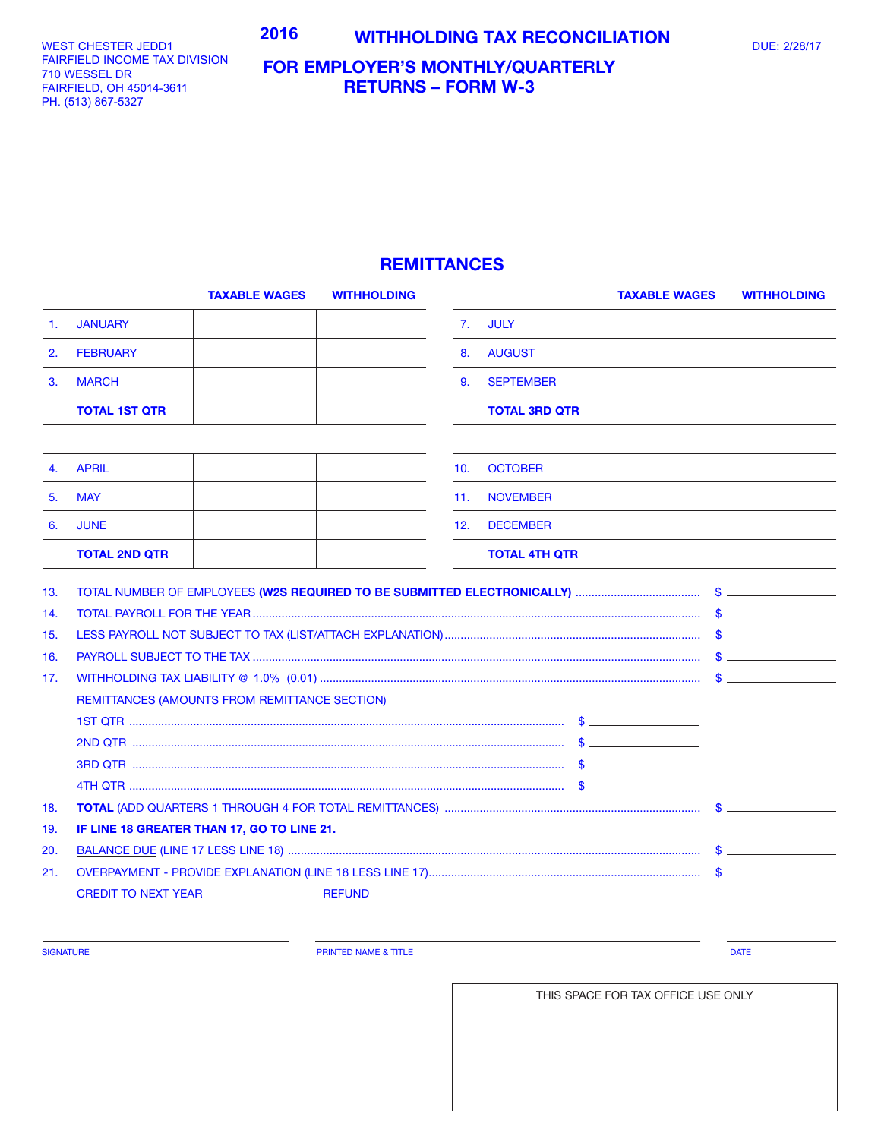## WEST CHESTER JEDD1 **1990 1991 - 2016 MITHHOLDING TAX RECONCILIATION** DUE: 2/28/17

WEST CHESTER JEDD1 FAIRFIELD INCOME TAX DIVISION 701 WESSEL DR 710 WESSEL DR FAIRFIELD, OH 45014-3611 FAIRFIELD, OH 45014-3611 PH. (513) 867-5327 PH. (513) 867-5327

## **FOR EMPLOYER'S MONTHLY/QUARTERLY RETURNS – FORM W-3**

## **REMITTANCES**

|                | <b>TAXABLE WAGES</b>                          | <b>WITHHOLDING</b> |     |                      | <b>TAXABLE WAGES</b> | <b>WITHHOLDING</b> |
|----------------|-----------------------------------------------|--------------------|-----|----------------------|----------------------|--------------------|
| $\mathbf{1}$ . | <b>JANUARY</b>                                |                    | 7.  | <b>JULY</b>          |                      |                    |
| 2.             | <b>FEBRUARY</b>                               |                    | 8.  | <b>AUGUST</b>        |                      |                    |
| 3.             | <b>MARCH</b>                                  |                    | 9.  | <b>SEPTEMBER</b>     |                      |                    |
|                | <b>TOTAL 1ST QTR</b>                          |                    |     | <b>TOTAL 3RD QTR</b> |                      |                    |
|                |                                               |                    |     |                      |                      |                    |
| 4.             | <b>APRIL</b>                                  |                    | 10. | <b>OCTOBER</b>       |                      |                    |
| 5.             | <b>MAY</b>                                    |                    | 11. | <b>NOVEMBER</b>      |                      |                    |
| 6.             | <b>JUNE</b>                                   |                    | 12. | <b>DECEMBER</b>      |                      |                    |
|                | <b>TOTAL 2ND QTR</b>                          |                    |     | <b>TOTAL 4TH QTR</b> |                      |                    |
| 13.            |                                               |                    |     |                      |                      |                    |
| 14.            |                                               |                    |     |                      |                      | $\mathbb{S}$       |
| 15.            |                                               |                    |     |                      |                      |                    |
| 16.            |                                               |                    |     |                      |                      |                    |
| 17.            |                                               |                    |     |                      |                      |                    |
|                | REMITTANCES (AMOUNTS FROM REMITTANCE SECTION) |                    |     |                      |                      |                    |
|                |                                               |                    |     |                      |                      |                    |
|                |                                               |                    |     |                      |                      |                    |
|                |                                               |                    |     |                      |                      |                    |
|                |                                               |                    |     |                      |                      |                    |
| 18.            |                                               |                    |     |                      |                      |                    |
| 19.            | IF LINE 18 GREATER THAN 17, GO TO LINE 21.    |                    |     |                      |                      |                    |
| 20.            |                                               |                    |     |                      |                      |                    |
| 21.            |                                               |                    |     |                      |                      |                    |
|                |                                               |                    |     |                      |                      |                    |
|                |                                               |                    |     |                      |                      |                    |

SIGNATURE **Example 2008 CONSUMING THE PRINTED NAME & TITLE PRINTED NAME & TITLE DATE** 

THIS SPACE FOR TAX OFFICE USE ONLY